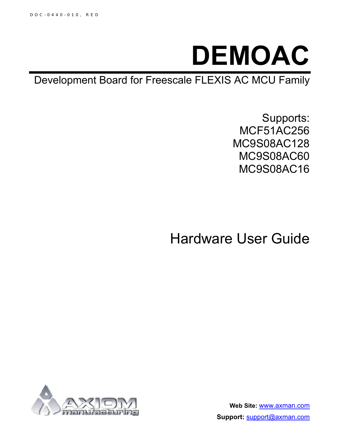

Development Board for Freescale FLEXIS AC MCU Family

Supports: MCF51AC256 MC9S08AC128 MC9S08AC60 MC9S08AC16

Hardware User Guide



**Web Site:** www.axman.com **Support:** support@axman.com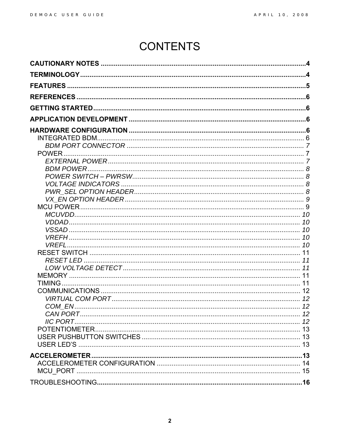# **CONTENTS**

| <b>VREFL</b>         |
|----------------------|
|                      |
|                      |
|                      |
|                      |
|                      |
|                      |
|                      |
|                      |
|                      |
|                      |
|                      |
|                      |
|                      |
|                      |
|                      |
|                      |
|                      |
|                      |
|                      |
|                      |
|                      |
|                      |
|                      |
|                      |
|                      |
|                      |
|                      |
|                      |
|                      |
|                      |
|                      |
|                      |
|                      |
|                      |
| <b>ACCELEROMETER</b> |
|                      |
|                      |
|                      |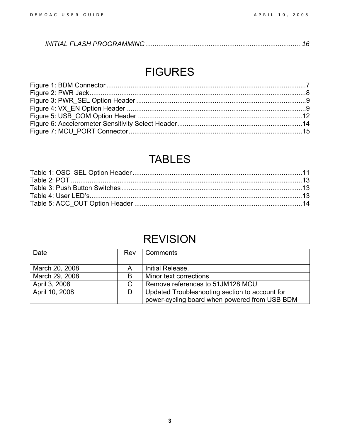|--|--|--|

## FIGURES

## TABLES

## REVISION

| Date           | Rev | Comments                                       |  |
|----------------|-----|------------------------------------------------|--|
|                |     |                                                |  |
| March 20, 2008 | Α   | Initial Release.                               |  |
| March 29, 2008 | B   | Minor text corrections                         |  |
| April 3, 2008  | C   | Remove references to 51JM128 MCU               |  |
| April 10, 2008 | D   | Updated Troubleshooting section to account for |  |
|                |     | power-cycling board when powered from USB BDM  |  |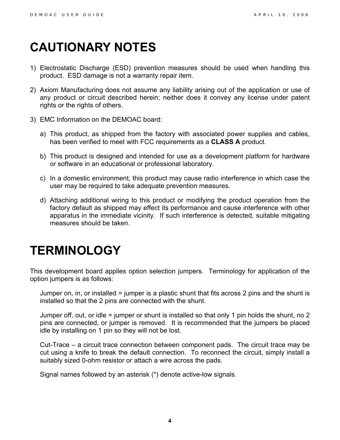# <span id="page-3-0"></span>**CAUTIONARY NOTES**

- 1) Electrostatic Discharge (ESD) prevention measures should be used when handling this product. ESD damage is not a warranty repair item.
- 2) Axiom Manufacturing does not assume any liability arising out of the application or use of any product or circuit described herein; neither does it convey any license under patent rights or the rights of others.
- 3) EMC Information on the DEMOAC board:
	- a) This product, as shipped from the factory with associated power supplies and cables, has been verified to meet with FCC requirements as a **CLASS A** product.
	- b) This product is designed and intended for use as a development platform for hardware or software in an educational or professional laboratory.
	- c) In a domestic environment, this product may cause radio interference in which case the user may be required to take adequate prevention measures.
	- d) Attaching additional wiring to this product or modifying the product operation from the factory default as shipped may effect its performance and cause interference with other apparatus in the immediate vicinity. If such interference is detected, suitable mitigating measures should be taken.

# <span id="page-3-1"></span>**TERMINOLOGY**

This development board applies option selection jumpers. Terminology for application of the option jumpers is as follows:

Jumper on, in, or installed = jumper is a plastic shunt that fits across 2 pins and the shunt is installed so that the 2 pins are connected with the shunt.

Jumper off, out, or idle = jumper or shunt is installed so that only 1 pin holds the shunt, no 2 pins are connected, or jumper is removed. It is recommended that the jumpers be placed idle by installing on 1 pin so they will not be lost.

Cut-Trace – a circuit trace connection between component pads. The circuit trace may be cut using a knife to break the default connection. To reconnect the circuit, simply install a suitably sized 0-ohm resistor or attach a wire across the pads.

Signal names followed by an asterisk (\*) denote active-low signals.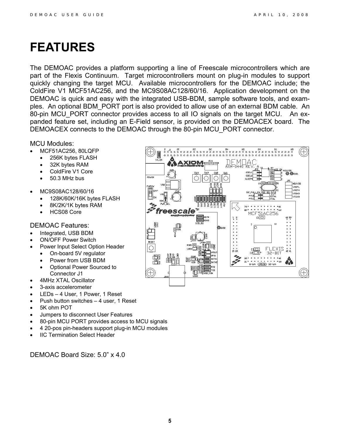## <span id="page-4-0"></span>**FEATURES**

The DEMOAC provides a platform supporting a line of Freescale microcontrollers which are part of the Flexis Continuum. Target microcontrollers mount on plug-in modules to support quickly changing the target MCU. Available microcontrollers for the DEMOAC include; the ColdFire V1 MCF51AC256, and the MC9S08AC128/60/16. Application development on the DEMOAC is quick and easy with the integrated USB-BDM, sample software tools, and examples. An optional BDM\_PORT port is also provided to allow use of an external BDM cable. An 80-pin MCU\_PORT connector provides access to all IO signals on the target MCU. An expanded feature set, including an E-Field sensor, is provided on the DEMOACEX board. The DEMOACEX connects to the DEMOAC through the 80-pin MCU\_PORT connector.

MCU Modules:

- MCF51AC256, 80LQFP
- 256K bytes FLASH
- 32K bytes RAM
- ColdFire V1 Core
- 50.3 MHz bus
- MC9S08AC128/60/16
	- 128K/60K/16K bytes FLASH
	- 8K/2K/1K bytes RAM
	- HCS08 Core

#### DEMOAC Features:

- Integrated, USB BDM
- ON/OFF Power Switch
- Power Input Select Option Header
	- On-board 5V regulator
	- Power from USB BDM
	- Optional Power Sourced to Connector J1
- 4MHz XTAL Oscillator
- 3-axis accelerometer
- LEDs 4 User, 1 Power, 1 Reset
- Push button switches 4 user, 1 Reset
- 5K ohm POT
- Jumpers to disconnect User Features
- 80-pin MCU PORT provides access to MCU signals
- 4 20-pos pin-headers support plug-in MCU modules
- **IIC Termination Select Header**

DEMOAC Board Size: 5.0" x 4.0

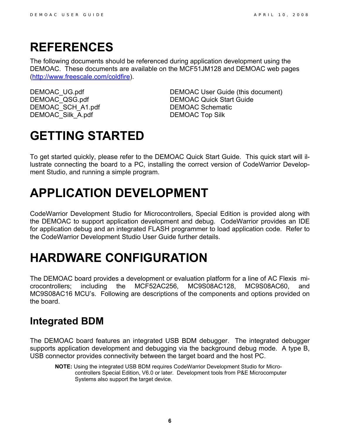## <span id="page-5-0"></span>**REFERENCES**

The following documents should be referenced during application development using the DEMOAC. These documents are available on the MCF51JM128 and DEMOAC web pages ([http://www.freescale.com/coldfire\)](http://www.freescale.com/coldfire).

DEMOAC SCH\_A1.pdf DEMOAC Schematic DEMOAC\_Silk\_A.pdf DEMOAC Top Silk

DEMOAC\_UG.pdf DEMOAC User Guide (this document)<br>DEMOAC\_QSG.pdf DEMOAC Quick Start Guide DEMOAC Quick Start Guide

# <span id="page-5-1"></span>**GETTING STARTED**

To get started quickly, please refer to the DEMOAC Quick Start Guide. This quick start will illustrate connecting the board to a PC, installing the correct version of CodeWarrior Development Studio, and running a simple program.

# <span id="page-5-2"></span>**APPLICATION DEVELOPMENT**

CodeWarrior Development Studio for Microcontrollers, Special Edition is provided along with the DEMOAC to support application development and debug. CodeWarrior provides an IDE for application debug and an integrated FLASH programmer to load application code. Refer to the CodeWarrior Development Studio User Guide further details.

# <span id="page-5-3"></span>**HARDWARE CONFIGURATION**

The DEMOAC board provides a development or evaluation platform for a line of AC Flexis microcontrollers; including the MCF52AC256, MC9S08AC128, MC9S08AC60, and MC9S08AC16 MCU's. Following are descriptions of the components and options provided on the board.

### <span id="page-5-4"></span>**Integrated BDM**

The DEMOAC board features an integrated USB BDM debugger. The integrated debugger supports application development and debugging via the background debug mode. A type B, USB connector provides connectivity between the target board and the host PC.

**NOTE:** Using the integrated USB BDM requires CodeWarrior Development Studio for Microcontrollers Special Edition, V6.0 or later. Development tools from P&E Microcomputer Systems also support the target device.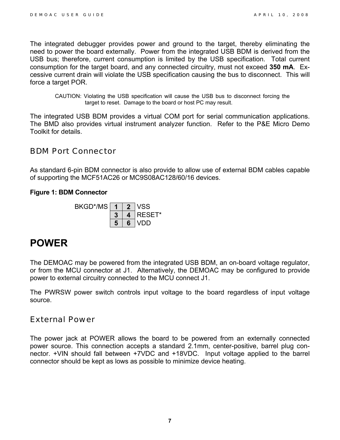The integrated debugger provides power and ground to the target, thereby eliminating the need to power the board externally. Power from the integrated USB BDM is derived from the USB bus; therefore, current consumption is limited by the USB specification. Total current consumption for the target board, and any connected circuitry, must not exceed **350 mA**. Excessive current drain will violate the USB specification causing the bus to disconnect. This will force a target POR.

CAUTION: Violating the USB specification will cause the USB bus to disconnect forcing the target to reset. Damage to the board or host PC may result.

The integrated USB BDM provides a virtual COM port for serial communication applications. The BMD also provides virtual instrument analyzer function. Refer to the P&E Micro Demo Toolkit for details.

### <span id="page-6-0"></span>*BDM Port Connector*

As standard 6-pin BDM connector is also provide to allow use of external BDM cables capable of supporting the MCF51AC26 or MC9S08AC128/60/16 devices.

#### <span id="page-6-3"></span>**Figure 1: BDM Connector**



### <span id="page-6-1"></span>**POWER**

The DEMOAC may be powered from the integrated USB BDM, an on-board voltage regulator, or from the MCU connector at J1. Alternatively, the DEMOAC may be configured to provide power to external circuitry connected to the MCU connect J1.

The PWRSW power switch controls input voltage to the board regardless of input voltage source.

### <span id="page-6-2"></span>*External Power*

The power jack at POWER allows the board to be powered from an externally connected power source. This connection accepts a standard 2.1mm, center-positive, barrel plug connector. +VIN should fall between +7VDC and +18VDC. Input voltage applied to the barrel connector should be kept as lows as possible to minimize device heating.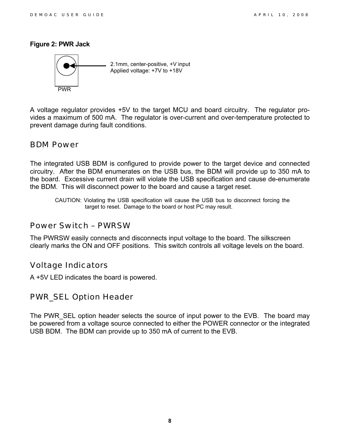#### <span id="page-7-4"></span>**Figure 2: PWR Jack**



A voltage regulator provides +5V to the target MCU and board circuitry. The regulator provides a maximum of 500 mA. The regulator is over-current and over-temperature protected to prevent damage during fault conditions.

### <span id="page-7-0"></span>*BDM Power*

The integrated USB BDM is configured to provide power to the target device and connected circuitry. After the BDM enumerates on the USB bus, the BDM will provide up to 350 mA to the board. Excessive current drain will violate the USB specification and cause de-enumerate the BDM. This will disconnect power to the board and cause a target reset.

CAUTION: Violating the USB specification will cause the USB bus to disconnect forcing the target to reset. Damage to the board or host PC may result.

### <span id="page-7-1"></span>*Power Switch – PWRSW*

The PWRSW easily connects and disconnects input voltage to the board. The silkscreen clearly marks the ON and OFF positions. This switch controls all voltage levels on the board.

### <span id="page-7-2"></span>*Voltage Indicators*

A +5V LED indicates the board is powered.

### <span id="page-7-3"></span>*PWR\_SEL Option Header*

The PWR SEL option header selects the source of input power to the EVB. The board may be powered from a voltage source connected to either the POWER connector or the integrated USB BDM. The BDM can provide up to 350 mA of current to the EVB.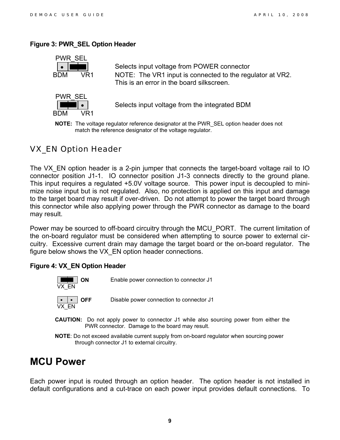#### <span id="page-8-2"></span>**Figure 3: PWR\_SEL Option Header**



• **• • • Selects input voltage from POWER connector** BDM VR1 NOTE: The VR1 input is connected to the regulator at VR2. This is an error in the board silkscreen.



• Selects input voltage from the integrated BDM

**NOTE:** The voltage regulator reference designator at the PWR\_SEL option header does not match the reference designator of the voltage regulator.

### <span id="page-8-0"></span>*VX\_EN Option Header*

The VX EN option header is a 2-pin jumper that connects the target-board voltage rail to IO connector position J1-1. IO connector position J1-3 connects directly to the ground plane. This input requires a regulated +5.0V voltage source. This power input is decoupled to minimize noise input but is not regulated. Also, no protection is applied on this input and damage to the target board may result if over-driven. Do not attempt to power the target board through this connector while also applying power through the PWR connector as damage to the board may result.

Power may be sourced to off-board circuitry through the MCU\_PORT. The current limitation of the on-board regulator must be considered when attempting to source power to external circuitry. Excessive current drain may damage the target board or the on-board regulator. The figure below shows the VX\_EN option header connections.

#### <span id="page-8-3"></span>**Figure 4: VX\_EN Option Header**



- **CAUTION:** Do not apply power to connector J1 while also sourcing power from either the PWR connector. Damage to the board may result.
- **NOTE**: Do not exceed available current supply from on-board regulator when sourcing power through connector J1 to external circuitry.

### <span id="page-8-1"></span>**MCU Power**

Each power input is routed through an option header. The option header is not installed in default configurations and a cut-trace on each power input provides default connections. To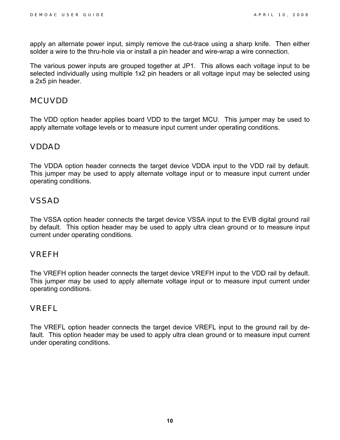apply an alternate power input, simply remove the cut-trace using a sharp knife. Then either solder a wire to the thru-hole via or install a pin header and wire-wrap a wire connection.

The various power inputs are grouped together at JP1. This allows each voltage input to be selected individually using multiple 1x2 pin headers or all voltage input may be selected using a 2x5 pin header.

### <span id="page-9-0"></span>*MCUVDD*

The VDD option header applies board VDD to the target MCU. This jumper may be used to apply alternate voltage levels or to measure input current under operating conditions.

### <span id="page-9-1"></span>*VDDAD*

The VDDA option header connects the target device VDDA input to the VDD rail by default. This jumper may be used to apply alternate voltage input or to measure input current under operating conditions.

### <span id="page-9-2"></span>*VSSAD*

The VSSA option header connects the target device VSSA input to the EVB digital ground rail by default. This option header may be used to apply ultra clean ground or to measure input current under operating conditions.

### <span id="page-9-3"></span>*VREFH*

The VREFH option header connects the target device VREFH input to the VDD rail by default. This jumper may be used to apply alternate voltage input or to measure input current under operating conditions.

### <span id="page-9-4"></span>*VREFL*

The VREFL option header connects the target device VREFL input to the ground rail by default. This option header may be used to apply ultra clean ground or to measure input current under operating conditions.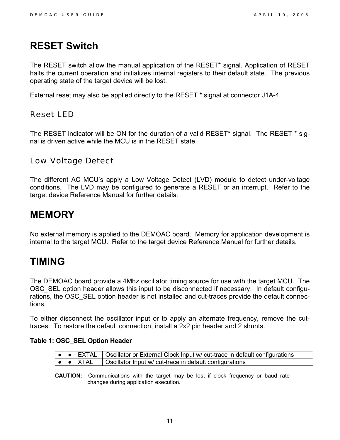### <span id="page-10-0"></span>**RESET Switch**

The RESET switch allow the manual application of the RESET\* signal. Application of RESET halts the current operation and initializes internal registers to their default state. The previous operating state of the target device will be lost.

External reset may also be applied directly to the RESET \* signal at connector J1A-4.

### <span id="page-10-1"></span>*Reset LED*

The RESET indicator will be ON for the duration of a valid RESET\* signal. The RESET \* signal is driven active while the MCU is in the RESET state.

### <span id="page-10-2"></span>*Low Voltage Detect*

The different AC MCU's apply a Low Voltage Detect (LVD) module to detect under-voltage conditions. The LVD may be configured to generate a RESET or an interrupt. Refer to the target device Reference Manual for further details.

### <span id="page-10-3"></span>**MEMORY**

No external memory is applied to the DEMOAC board. Memory for application development is internal to the target MCU. Refer to the target device Reference Manual for further details.

### <span id="page-10-4"></span>**TIMING**

The DEMOAC board provide a 4Mhz oscillator timing source for use with the target MCU. The OSC SEL option header allows this input to be disconnected if necessary. In default configurations, the OSC SEL option header is not installed and cut-traces provide the default connections.

To either disconnect the oscillator input or to apply an alternate frequency, remove the cuttraces. To restore the default connection, install a 2x2 pin header and 2 shunts.

#### <span id="page-10-5"></span>**Table 1: OSC\_SEL Option Header**

|  | ●   ●   EXTAL   Oscillator or External Clock Input w/ cut-trace in default configurations                  |
|--|------------------------------------------------------------------------------------------------------------|
|  | $\boxed{\bullet}$ $\boxed{\bullet}$ XTAL $\quad$   Oscillator Input w/ cut-trace in default configurations |

**CAUTION:** Communications with the target may be lost if clock frequency or baud rate changes during application execution.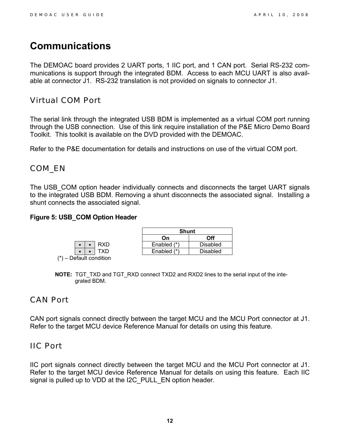### <span id="page-11-0"></span>**Communications**

The DEMOAC board provides 2 UART ports, 1 IIC port, and 1 CAN port. Serial RS-232 communications is support through the integrated BDM. Access to each MCU UART is also available at connector J1. RS-232 translation is not provided on signals to connector J1.

### <span id="page-11-1"></span>*Virtual COM Port*

The serial link through the integrated USB BDM is implemented as a virtual COM port running through the USB connection. Use of this link require installation of the P&E Micro Demo Board Toolkit. This toolkit is available on the DVD provided with the DEMOAC.

Refer to the P&E documentation for details and instructions on use of the virtual COM port.

### <span id="page-11-2"></span>*COM\_EN*

The USB\_COM option header individually connects and disconnects the target UART signals to the integrated USB BDM. Removing a shunt disconnects the associated signal. Installing a shunt connects the associated signal.

#### <span id="page-11-5"></span>**Figure 5: USB\_COM Option Header**

|  | <b>RXD</b>          |
|--|---------------------|
|  | TXD                 |
|  | – Default condition |

|                |     | <b>Shunt</b>  |                 |
|----------------|-----|---------------|-----------------|
|                |     | Օո            | Off             |
|                | RXD | Enabled (*)   | <b>Disabled</b> |
| $\blacksquare$ |     | Enabled $(*)$ | <b>Disabled</b> |

**NOTE:** TGT\_TXD and TGT\_RXD connect TXD2 and RXD2 lines to the serial input of the integrated BDM.

### <span id="page-11-3"></span>*CAN Port*

CAN port signals connect directly between the target MCU and the MCU Port connector at J1. Refer to the target MCU device Reference Manual for details on using this feature.

### <span id="page-11-4"></span>*IIC Port*

IIC port signals connect directly between the target MCU and the MCU Port connector at J1. Refer to the target MCU device Reference Manual for details on using this feature. Each IIC signal is pulled up to VDD at the I2C\_PULL\_EN option header.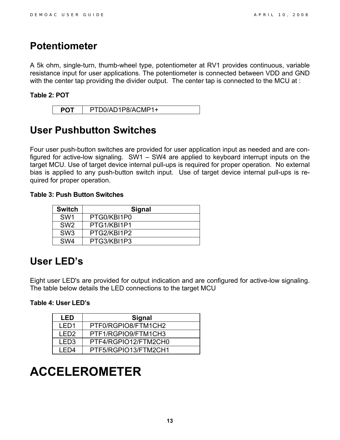### <span id="page-12-0"></span>**Potentiometer**

A 5k ohm, single-turn, thumb-wheel type, potentiometer at RV1 provides continuous, variable resistance input for user applications. The potentiometer is connected between VDD and GND with the center tap providing the divider output. The center tap is connected to the MCU at :

#### <span id="page-12-4"></span>**Table 2: POT**

| PTD0/AD1P8/ACMP1+ |
|-------------------|
|-------------------|

### <span id="page-12-1"></span>**User Pushbutton Switches**

Four user push-button switches are provided for user application input as needed and are configured for active-low signaling. SW1 – SW4 are applied to keyboard interrupt inputs on the target MCU. Use of target device internal pull-ups is required for proper operation. No external bias is applied to any push-button switch input. Use of target device internal pull-ups is required for proper operation.

#### <span id="page-12-5"></span>**Table 3: Push Button Switches**

| <b>Switch</b>   | <b>Signal</b> |
|-----------------|---------------|
| SW <sub>1</sub> | PTG0/KBI1P0   |
| SW <sub>2</sub> | PTG1/KBI1P1   |
| SW <sub>3</sub> | PTG2/KBI1P2   |
| SW <sub>4</sub> | PTG3/KBI1P3   |

### <span id="page-12-2"></span>**User LED's**

Eight user LED's are provided for output indication and are configured for active-low signaling. The table below details the LED connections to the target MCU

#### <span id="page-12-6"></span>**Table 4: User LED's**

| I FD. | Signal               |
|-------|----------------------|
| I ED1 | PTF0/RGPIO8/FTM1CH2  |
| I FD2 | PTF1/RGPIO9/FTM1CH3  |
| I FD3 | PTF4/RGPIO12/FTM2CH0 |
| I FD4 | PTF5/RGPIO13/FTM2CH1 |

## <span id="page-12-3"></span>**ACCELEROMETER**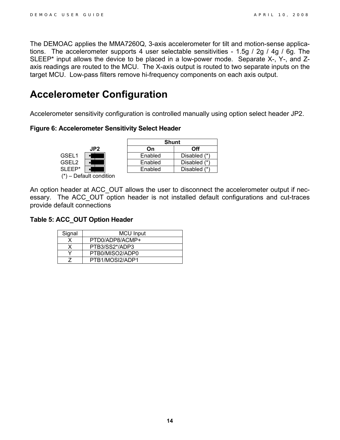The DEMOAC applies the MMA7260Q, 3-axis accelerometer for tilt and motion-sense applications. The accelerometer supports 4 user selectable sensitivities - 1.5g / 2g / 4g / 6g. The SLEEP\* input allows the device to be placed in a low-power mode. Separate X-, Y-, and Zaxis readings are routed to the MCU. The X-axis output is routed to two separate inputs on the target MCU. Low-pass filters remove hi-frequency components on each axis output.

### <span id="page-13-0"></span>**Accelerometer Configuration**

Accelerometer sensitivity configuration is controlled manually using option select header JP2.

#### <span id="page-13-1"></span>**Figure 6: Accelerometer Sensitivity Select Header**



An option header at ACC\_OUT allows the user to disconnect the accelerometer output if necessary. The ACC\_OUT option header is not installed default configurations and cut-traces provide default connections

#### <span id="page-13-2"></span>**Table 5: ACC\_OUT Option Header**

| Signal | <b>MCU Input</b> |
|--------|------------------|
|        | PTD0/ADP8/ACMP+  |
|        | PTB3/SS2*/ADP3   |
|        | PTB0/MISO2/ADP0  |
|        | PTB1/MOSI2/ADP1  |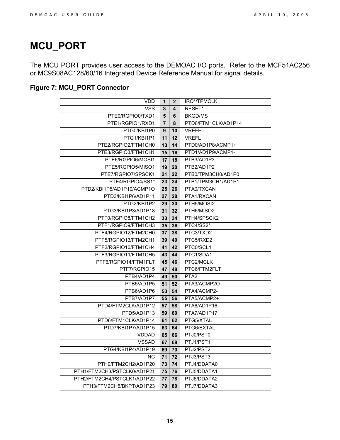### <span id="page-14-0"></span>**MCU\_PORT**

The MCU PORT provides user access to the DEMOAC I/O ports. Refer to the MCF51AC256 or MC9S08AC128/60/16 Integrated Device Reference Manual for signal details.

### <span id="page-14-1"></span>**Figure 7: MCU\_PORT Connector**

| <b>VDD</b>                  | 1              | $\mathbf{2}$ | IRQ*/TPMCLK         |
|-----------------------------|----------------|--------------|---------------------|
| <b>VSS</b>                  | 3              | 4            | RESET*              |
| PTE0/RGPIO0/TXD1            | 5              | 6            | <b>BKGD/MS</b>      |
| PTE1/RGPIO1/RXD1            | $\overline{7}$ | 8            | PTD6/FTM1CLK/AD1P14 |
| PTG0/KBI1P0                 | 9              | 10           | <b>VREFH</b>        |
| PTG1/KBI1P1                 | 11             | 12           | <b>VREFL</b>        |
| PTE2/RGPIO2/FTM1CH0         | 13             | 14           | PTD0/AD1P8/ACMP1+   |
| PTE3/RGPIO3/FTM1CH1         | 15             | 16           | PTD1/AD1P9/ACMP1-   |
| PTE6/RGPIO6/MOSI1           | 17             | 18           | PTB3/AD1P3          |
| PTE5/RGPIO5/MISO1           | 19             | 20           | PTB2/AD1P2          |
| PTE7/RGPIO7/SPSCK1          | 21             | 22           | PTB0/TPM3CH0/AD1P0  |
| PTE4/RGPIO4/SS1*            | 23             | 24           | PTB1/TPM3CH1/AD1P1  |
| PTD2/KBI1P5/AD1P10/ACMP1O   | 25             | 26           | PTA0/TXCAN          |
| PTD3/KBI1P6/AD1P11          | 27             | 28           | PTA1/RXCAN          |
| PTG2/KBI1P2                 | 29             | 30           | PTH5/MOSI2          |
| PTG3/KBI1P3/AD1P18          | 31             | 32           | PTH6/MISO2          |
| PTF0/RGPIO8/FTM1CH2         | 33             | 34           | PTH4/SPSCK2         |
| PTF1/RGPIO9/FTM1CH3         | 35             | 36           | PTC4/SS2*           |
| PTF4/RGPIO12/FTM2CH0        | 37             | 38           | PTC3/TXD2           |
| PTF5/RGPIO13/FTM2CH1        | 39             | 40           | PTC5/RXD2           |
| PTF2/RGPIO10/FTM1CH4        | 41             | 42           | PTC0/SCL1           |
| PTF3/RGPIO11/FTM1CH5        | 43             | 44           | PTC1/SDA1           |
| PTF6/RGPIO14/FTM1FLT        | 45             | 46           | PTC2/MCLK           |
| PTF7/RGPIO15                | 47             | 48           | PTC6/FTM2FLT        |
| PTB4/AD1P4                  | 49             | 50           | PTA <sub>2</sub>    |
| PTB5/AD1P5                  | 51             | 52           | PTA3/ACMP2O         |
| PTB6/AD1P6                  | 53             | 54           | PTA4/ACMP2-         |
| PTB7/AD1P7                  | 55             | 56           | PTA5/ACMP2+         |
| PTD4/FTM2CLK/AD1P12         | 57             | 58           | PTA6/AD1P16         |
| PTD5/AD1P13                 | 59             | 60           | PTA7/AD1P17         |
| PTD6/FTM1CLK/AD1P14         | 61             | 62           | PTG5/XTAL           |
| PTD7/KBI1P7/AD1P15          | 63             | 64           | PTG6/EXTAL          |
| <b>VDDAD</b>                | 65             | 66           | PTJ0/PST0           |
| <b>VSSAD</b>                | 67             | 68           | PTJ1/PST1           |
| PTG4/KBI1P4/AD1P19          | 69             | 70           | PTJ2/PST2           |
| <b>NC</b>                   | 71             | 72           | PTJ3/PST3           |
| PTH0/FTM2CH2/AD1P20         | 73             | 74           | PTJ4/DDATA0         |
| PTH1/FTM2CH3/PSTCLK0/AD1P21 | 75             | 76           | PTJ5/DDATA1         |
| PTH2/FTM2CH4/PSTCLK1/AD1P22 | 77             | 78           | PTJ6/DDATA2         |
| PTH3/FTM2CH5/BKPT/AD1P23    | 79             | 80           | PTJ7/DDATA3         |